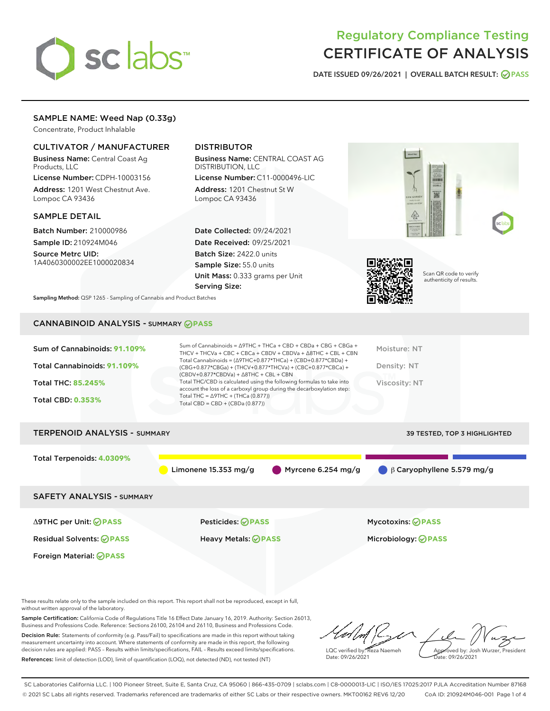# sclabs<sup>\*</sup>

# Regulatory Compliance Testing CERTIFICATE OF ANALYSIS

DATE ISSUED 09/26/2021 | OVERALL BATCH RESULT: @ PASS

## SAMPLE NAME: Weed Nap (0.33g)

Concentrate, Product Inhalable

# CULTIVATOR / MANUFACTURER

Business Name: Central Coast Ag Products, LLC

License Number: CDPH-10003156 Address: 1201 West Chestnut Ave. Lompoc CA 93436

#### SAMPLE DETAIL

Batch Number: 210000986 Sample ID: 210924M046

Source Metrc UID: 1A4060300002EE1000020834

# DISTRIBUTOR

Business Name: CENTRAL COAST AG DISTRIBUTION, LLC

License Number: C11-0000496-LIC Address: 1201 Chestnut St W Lompoc CA 93436

Date Collected: 09/24/2021 Date Received: 09/25/2021 Batch Size: 2422.0 units Sample Size: 55.0 units Unit Mass: 0.333 grams per Unit Serving Size:





Scan QR code to verify authenticity of results.

Sampling Method: QSP 1265 - Sampling of Cannabis and Product Batches

# CANNABINOID ANALYSIS - SUMMARY **PASS**

| Sum of Cannabinoids: 91.109%<br>Total Cannabinoids: 91.109%<br><b>Total THC: 85.245%</b><br><b>Total CBD: 0.353%</b> | Total Cannabinoids = $(\Delta$ 9THC+0.877*THCa) + (CBD+0.877*CBDa) +<br>$(CBDV+0.877*CBDVa) + \Delta 8THC + CBL + CBN$<br>Total THC = $\triangle$ 9THC + (THCa (0.877))<br>Total CBD = $CBD + (CBDa (0.877))$ | Sum of Cannabinoids = $\triangle$ 9THC + THCa + CBD + CBDa + CBG + CBGa +<br>THCV + THCVa + CBC + CBCa + CBDV + CBDVa + $\Delta$ 8THC + CBL + CBN<br>$(CBG+0.877*CBGa) + (THCV+0.877*THCVa) + (CBC+0.877*CBCa) +$<br>Total THC/CBD is calculated using the following formulas to take into<br>account the loss of a carboxyl group during the decarboxylation step: | Moisture: NT<br>Density: NT<br>Viscosity: NT |  |
|----------------------------------------------------------------------------------------------------------------------|---------------------------------------------------------------------------------------------------------------------------------------------------------------------------------------------------------------|---------------------------------------------------------------------------------------------------------------------------------------------------------------------------------------------------------------------------------------------------------------------------------------------------------------------------------------------------------------------|----------------------------------------------|--|
| <b>TERPENOID ANALYSIS - SUMMARY</b>                                                                                  |                                                                                                                                                                                                               |                                                                                                                                                                                                                                                                                                                                                                     | 39 TESTED, TOP 3 HIGHLIGHTED                 |  |
| Total Terpenoids: 4.0309%                                                                                            | Limonene 15.353 mg/g                                                                                                                                                                                          | Myrcene 6.254 mg/g                                                                                                                                                                                                                                                                                                                                                  | $\beta$ Caryophyllene 5.579 mg/g             |  |
| <b>SAFETY ANALYSIS - SUMMARY</b>                                                                                     |                                                                                                                                                                                                               |                                                                                                                                                                                                                                                                                                                                                                     |                                              |  |

Foreign Material: **PASS**

Δ9THC per Unit: **PASS** Pesticides: **PASS** Mycotoxins: **PASS**

Residual Solvents: **PASS** Heavy Metals: **PASS** Microbiology: **PASS**

These results relate only to the sample included on this report. This report shall not be reproduced, except in full, without written approval of the laboratory.

Sample Certification: California Code of Regulations Title 16 Effect Date January 16, 2019. Authority: Section 26013, Business and Professions Code. Reference: Sections 26100, 26104 and 26110, Business and Professions Code. Decision Rule: Statements of conformity (e.g. Pass/Fail) to specifications are made in this report without taking

measurement uncertainty into account. Where statements of conformity are made in this report, the following decision rules are applied: PASS – Results within limits/specifications, FAIL – Results exceed limits/specifications. References: limit of detection (LOD), limit of quantification (LOQ), not detected (ND), not tested (NT)

LQC verified by: Reza Naemeh Date: 09/26/2021 Approved by: Josh Wurzer, President ate: 09/26/2021

SC Laboratories California LLC. | 100 Pioneer Street, Suite E, Santa Cruz, CA 95060 | 866-435-0709 | sclabs.com | C8-0000013-LIC | ISO/IES 17025:2017 PJLA Accreditation Number 87168 © 2021 SC Labs all rights reserved. Trademarks referenced are trademarks of either SC Labs or their respective owners. MKT00162 REV6 12/20 CoA ID: 210924M046-001 Page 1 of 4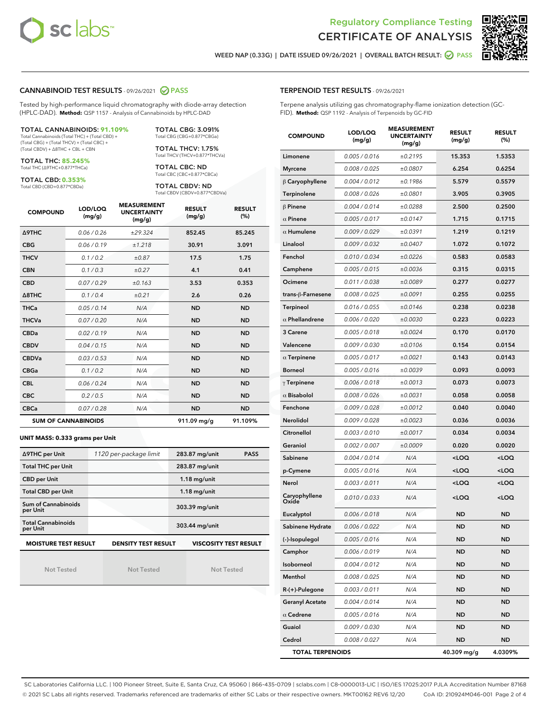



WEED NAP (0.33G) | DATE ISSUED 09/26/2021 | OVERALL BATCH RESULT:  $\bigcirc$  PASS

#### CANNABINOID TEST RESULTS - 09/26/2021 2 PASS

Tested by high-performance liquid chromatography with diode-array detection (HPLC-DAD). **Method:** QSP 1157 - Analysis of Cannabinoids by HPLC-DAD

#### TOTAL CANNABINOIDS: **91.109%**

Total Cannabinoids (Total THC) + (Total CBD) + (Total CBG) + (Total THCV) + (Total CBC) + (Total CBDV) + ∆8THC + CBL + CBN

TOTAL THC: **85.245%** Total THC (∆9THC+0.877\*THCa)

TOTAL CBD: **0.353%**

Total CBD (CBD+0.877\*CBDa)

TOTAL CBG: 3.091% Total CBG (CBG+0.877\*CBGa)

TOTAL THCV: 1.75% Total THCV (THCV+0.877\*THCVa)

TOTAL CBC: ND Total CBC (CBC+0.877\*CBCa)

TOTAL CBDV: ND Total CBDV (CBDV+0.877\*CBDVa)

| <b>COMPOUND</b>  | LOD/LOQ<br>(mg/g)          | <b>MEASUREMENT</b><br><b>UNCERTAINTY</b><br>(mg/g) | <b>RESULT</b><br>(mg/g) | <b>RESULT</b><br>(%) |
|------------------|----------------------------|----------------------------------------------------|-------------------------|----------------------|
| Δ9THC            | 0.06 / 0.26                | ±29.324                                            | 852.45                  | 85.245               |
| <b>CBG</b>       | 0.06/0.19                  | ±1.218                                             | 30.91                   | 3.091                |
| <b>THCV</b>      | 0.1/0.2                    | ±0.87                                              | 17.5                    | 1.75                 |
| <b>CBN</b>       | 0.1/0.3                    | ±0.27                                              | 4.1                     | 0.41                 |
| <b>CBD</b>       | 0.07/0.29                  | ±0.163                                             | 3.53                    | 0.353                |
| $\triangle$ 8THC | 0.1/0.4                    | ±0.21                                              | 2.6                     | 0.26                 |
| <b>THCa</b>      | 0.05/0.14                  | N/A                                                | <b>ND</b>               | <b>ND</b>            |
| <b>THCVa</b>     | 0.07/0.20                  | N/A                                                | <b>ND</b>               | <b>ND</b>            |
| <b>CBDa</b>      | 0.02/0.19                  | N/A                                                | <b>ND</b>               | <b>ND</b>            |
| <b>CBDV</b>      | 0.04 / 0.15                | N/A                                                | <b>ND</b>               | <b>ND</b>            |
| <b>CBDVa</b>     | 0.03 / 0.53                | N/A                                                | <b>ND</b>               | <b>ND</b>            |
| <b>CBGa</b>      | 0.1/0.2                    | N/A                                                | <b>ND</b>               | <b>ND</b>            |
| <b>CBL</b>       | 0.06 / 0.24                | N/A                                                | <b>ND</b>               | <b>ND</b>            |
| <b>CBC</b>       | 0.2 / 0.5                  | N/A                                                | <b>ND</b>               | <b>ND</b>            |
| <b>CBCa</b>      | 0.07 / 0.28                | N/A                                                | <b>ND</b>               | <b>ND</b>            |
|                  | <b>SUM OF CANNABINOIDS</b> |                                                    | 911.09 mg/g             | 91.109%              |

#### **UNIT MASS: 0.333 grams per Unit**

| ∆9THC per Unit                                                                            | 1120 per-package limit | <b>PASS</b><br>283.87 mg/unit |  |  |
|-------------------------------------------------------------------------------------------|------------------------|-------------------------------|--|--|
| <b>Total THC per Unit</b>                                                                 |                        | 283.87 mg/unit                |  |  |
| <b>CBD per Unit</b>                                                                       |                        | $1.18$ mg/unit                |  |  |
| <b>Total CBD per Unit</b>                                                                 |                        | $1.18$ mg/unit                |  |  |
| Sum of Cannabinoids<br>per Unit                                                           |                        | 303.39 mg/unit                |  |  |
| <b>Total Cannabinoids</b><br>per Unit                                                     |                        | 303.44 mg/unit                |  |  |
| <b>MOISTURE TEST RESULT</b><br><b>DENSITY TEST RESULT</b><br><b>VISCOSITY TEST RESULT</b> |                        |                               |  |  |

Not Tested

Not Tested

Not Tested

#### TERPENOID TEST RESULTS - 09/26/2021

Terpene analysis utilizing gas chromatography-flame ionization detection (GC-FID). **Method:** QSP 1192 - Analysis of Terpenoids by GC-FID

| <b>COMPOUND</b>         | LOD/LOQ<br>(mg/g) | <b>MEASUREMENT</b><br><b>UNCERTAINTY</b><br>(mg/g) | <b>RESULT</b><br>(mg/g)                         | <b>RESULT</b><br>$(\%)$ |
|-------------------------|-------------------|----------------------------------------------------|-------------------------------------------------|-------------------------|
| Limonene                | 0.005 / 0.016     | ±0.2195                                            | 15.353                                          | 1.5353                  |
| <b>Myrcene</b>          | 0.008 / 0.025     | ±0.0807                                            | 6.254                                           | 0.6254                  |
| $\beta$ Caryophyllene   | 0.004 / 0.012     | ±0.1986                                            | 5.579                                           | 0.5579                  |
| Terpinolene             | 0.008 / 0.026     | ±0.0801                                            | 3.905                                           | 0.3905                  |
| $\beta$ Pinene          | 0.004 / 0.014     | ±0.0288                                            | 2.500                                           | 0.2500                  |
| $\alpha$ Pinene         | 0.005 / 0.017     | ±0.0147                                            | 1.715                                           | 0.1715                  |
| $\alpha$ Humulene       | 0.009 / 0.029     | ±0.0391                                            | 1.219                                           | 0.1219                  |
| Linalool                | 0.009 / 0.032     | ±0.0407                                            | 1.072                                           | 0.1072                  |
| Fenchol                 | 0.010 / 0.034     | ±0.0226                                            | 0.583                                           | 0.0583                  |
| Camphene                | 0.005 / 0.015     | ±0.0036                                            | 0.315                                           | 0.0315                  |
| Ocimene                 | 0.011 / 0.038     | ±0.0089                                            | 0.277                                           | 0.0277                  |
| trans-ß-Farnesene       | 0.008 / 0.025     | ±0.0091                                            | 0.255                                           | 0.0255                  |
| Terpineol               | 0.016 / 0.055     | ±0.0146                                            | 0.238                                           | 0.0238                  |
| $\alpha$ Phellandrene   | 0.006 / 0.020     | ±0.0030                                            | 0.223                                           | 0.0223                  |
| 3 Carene                | 0.005 / 0.018     | ±0.0024                                            | 0.170                                           | 0.0170                  |
| Valencene               | 0.009 / 0.030     | ±0.0106                                            | 0.154                                           | 0.0154                  |
| $\alpha$ Terpinene      | 0.005 / 0.017     | ±0.0021                                            | 0.143                                           | 0.0143                  |
| <b>Borneol</b>          | 0.005 / 0.016     | ±0.0039                                            | 0.093                                           | 0.0093                  |
| $\gamma$ Terpinene      | 0.006 / 0.018     | ±0.0013                                            | 0.073                                           | 0.0073                  |
| $\alpha$ Bisabolol      | 0.008 / 0.026     | ±0.0031                                            | 0.058                                           | 0.0058                  |
| Fenchone                | 0.009 / 0.028     | ±0.0012                                            | 0.040                                           | 0.0040                  |
| Nerolidol               | 0.009 / 0.028     | ±0.0023                                            | 0.036                                           | 0.0036                  |
| Citronellol             | 0.003 / 0.010     | ±0.0017                                            | 0.034                                           | 0.0034                  |
| Geraniol                | 0.002 / 0.007     | ±0.0009                                            | 0.020                                           | 0.0020                  |
| Sabinene                | 0.004 / 0.014     | N/A                                                | <loq< th=""><th><loq< th=""></loq<></th></loq<> | <loq< th=""></loq<>     |
| p-Cymene                | 0.005 / 0.016     | N/A                                                | <loq< th=""><th><loq< th=""></loq<></th></loq<> | <loq< th=""></loq<>     |
| Nerol                   | 0.003/0.011       | N/A                                                | <loq< th=""><th><loq< th=""></loq<></th></loq<> | <loq< th=""></loq<>     |
| Caryophyllene<br>Oxide  | 0.010 / 0.033     | N/A                                                | <loq< th=""><th><loq< th=""></loq<></th></loq<> | <loq< th=""></loq<>     |
| Eucalyptol              | 0.006 / 0.018     | N/A                                                | ND                                              | <b>ND</b>               |
| Sabinene Hydrate        | 0.006 / 0.022     | N/A                                                | <b>ND</b>                                       | <b>ND</b>               |
| (-)-Isopulegol          | 0.005 / 0.016     | N/A                                                | ND                                              | <b>ND</b>               |
| Camphor                 | 0.006 / 0.019     | N/A                                                | ND                                              | ND                      |
| Isoborneol              | 0.004 / 0.012     | N/A                                                | ND                                              | <b>ND</b>               |
| Menthol                 | 0.008 / 0.025     | N/A                                                | <b>ND</b>                                       | <b>ND</b>               |
| R-(+)-Pulegone          | 0.003 / 0.011     | N/A                                                | ND                                              | ND                      |
| <b>Geranyl Acetate</b>  | 0.004 / 0.014     | N/A                                                | ND                                              | ND                      |
| $\alpha$ Cedrene        | 0.005 / 0.016     | N/A                                                | ND                                              | <b>ND</b>               |
| Guaiol                  | 0.009 / 0.030     | N/A                                                | ND                                              | ND                      |
| Cedrol                  | 0.008 / 0.027     | N/A                                                | ND                                              | <b>ND</b>               |
| <b>TOTAL TERPENOIDS</b> |                   |                                                    | 40.309 mg/g                                     | 4.0309%                 |

SC Laboratories California LLC. | 100 Pioneer Street, Suite E, Santa Cruz, CA 95060 | 866-435-0709 | sclabs.com | C8-0000013-LIC | ISO/IES 17025:2017 PJLA Accreditation Number 87168 © 2021 SC Labs all rights reserved. Trademarks referenced are trademarks of either SC Labs or their respective owners. MKT00162 REV6 12/20 CoA ID: 210924M046-001 Page 2 of 4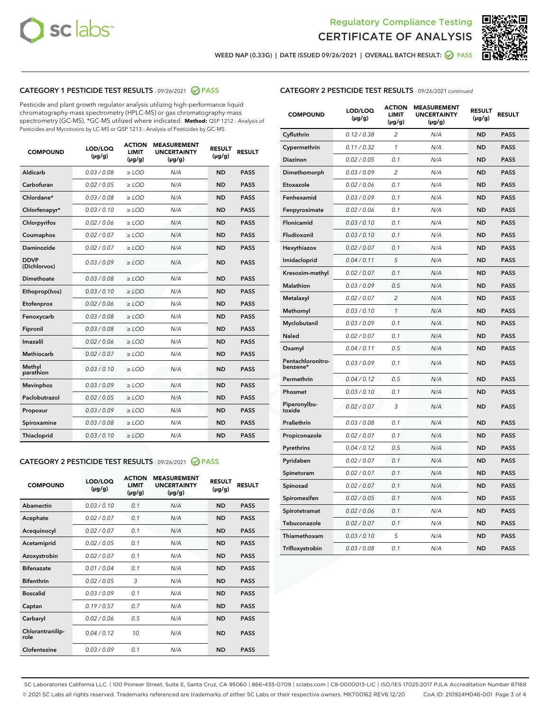



WEED NAP (0.33G) | DATE ISSUED 09/26/2021 | OVERALL BATCH RESULT: O PASS

## CATEGORY 1 PESTICIDE TEST RESULTS - 09/26/2021 2 PASS

Pesticide and plant growth regulator analysis utilizing high-performance liquid chromatography-mass spectrometry (HPLC-MS) or gas chromatography-mass spectrometry (GC-MS). \*GC-MS utilized where indicated. **Method:** QSP 1212 - Analysis of Pesticides and Mycotoxins by LC-MS or QSP 1213 - Analysis of Pesticides by GC-MS

| <b>COMPOUND</b>             | LOD/LOQ<br>$(\mu g/g)$ | <b>ACTION</b><br><b>LIMIT</b><br>$(\mu g/g)$ | <b>MEASUREMENT</b><br><b>UNCERTAINTY</b><br>$(\mu g/g)$ | <b>RESULT</b><br>$(\mu g/g)$ | <b>RESULT</b> |
|-----------------------------|------------------------|----------------------------------------------|---------------------------------------------------------|------------------------------|---------------|
| Aldicarb                    | 0.03 / 0.08            | $\ge$ LOD                                    | N/A                                                     | <b>ND</b>                    | <b>PASS</b>   |
| Carbofuran                  | 0.02/0.05              | $>$ LOD                                      | N/A                                                     | <b>ND</b>                    | <b>PASS</b>   |
| Chlordane*                  | 0.03 / 0.08            | $\ge$ LOD                                    | N/A                                                     | <b>ND</b>                    | <b>PASS</b>   |
| Chlorfenapyr*               | 0.03/0.10              | $>$ LOD                                      | N/A                                                     | <b>ND</b>                    | <b>PASS</b>   |
| Chlorpyrifos                | 0.02 / 0.06            | $\geq$ LOD                                   | N/A                                                     | <b>ND</b>                    | <b>PASS</b>   |
| Coumaphos                   | 0.02 / 0.07            | $\ge$ LOD                                    | N/A                                                     | <b>ND</b>                    | <b>PASS</b>   |
| Daminozide                  | 0.02 / 0.07            | $\ge$ LOD                                    | N/A                                                     | <b>ND</b>                    | <b>PASS</b>   |
| <b>DDVP</b><br>(Dichlorvos) | 0.03/0.09              | $\ge$ LOD                                    | N/A                                                     | <b>ND</b>                    | <b>PASS</b>   |
| Dimethoate                  | 0.03/0.08              | $>$ LOD                                      | N/A                                                     | <b>ND</b>                    | <b>PASS</b>   |
| Ethoprop(hos)               | 0.03/0.10              | $\ge$ LOD                                    | N/A                                                     | <b>ND</b>                    | <b>PASS</b>   |
| Etofenprox                  | 0.02 / 0.06            | $\ge$ LOD                                    | N/A                                                     | <b>ND</b>                    | <b>PASS</b>   |
| Fenoxycarb                  | 0.03 / 0.08            | $\ge$ LOD                                    | N/A                                                     | <b>ND</b>                    | <b>PASS</b>   |
| Fipronil                    | 0.03/0.08              | $>$ LOD                                      | N/A                                                     | <b>ND</b>                    | <b>PASS</b>   |
| Imazalil                    | 0.02 / 0.06            | $\ge$ LOD                                    | N/A                                                     | <b>ND</b>                    | <b>PASS</b>   |
| Methiocarb                  | 0.02 / 0.07            | $\ge$ LOD                                    | N/A                                                     | <b>ND</b>                    | <b>PASS</b>   |
| Methyl<br>parathion         | 0.03/0.10              | $\ge$ LOD                                    | N/A                                                     | <b>ND</b>                    | <b>PASS</b>   |
| <b>Mevinphos</b>            | 0.03/0.09              | $>$ LOD                                      | N/A                                                     | <b>ND</b>                    | <b>PASS</b>   |
| Paclobutrazol               | 0.02 / 0.05            | $\ge$ LOD                                    | N/A                                                     | <b>ND</b>                    | <b>PASS</b>   |
| Propoxur                    | 0.03/0.09              | $\ge$ LOD                                    | N/A                                                     | <b>ND</b>                    | <b>PASS</b>   |
| Spiroxamine                 | 0.03 / 0.08            | $\ge$ LOD                                    | N/A                                                     | <b>ND</b>                    | <b>PASS</b>   |
| Thiacloprid                 | 0.03/0.10              | $\ge$ LOD                                    | N/A                                                     | <b>ND</b>                    | <b>PASS</b>   |

#### CATEGORY 2 PESTICIDE TEST RESULTS - 09/26/2021 @ PASS

| <b>COMPOUND</b>          | LOD/LOO<br>$(\mu g/g)$ | <b>ACTION</b><br>LIMIT<br>$(\mu g/g)$ | <b>MEASUREMENT</b><br><b>UNCERTAINTY</b><br>$(\mu g/g)$ | <b>RESULT</b><br>$(\mu g/g)$ | <b>RESULT</b> |  |
|--------------------------|------------------------|---------------------------------------|---------------------------------------------------------|------------------------------|---------------|--|
| Abamectin                | 0.03/0.10              | 0.1                                   | N/A                                                     | <b>ND</b>                    | <b>PASS</b>   |  |
| Acephate                 | 0.02/0.07              | 0.1                                   | N/A                                                     | <b>ND</b>                    | <b>PASS</b>   |  |
| Acequinocyl              | 0.02/0.07              | 0.1                                   | N/A                                                     | <b>ND</b>                    | <b>PASS</b>   |  |
| Acetamiprid              | 0.02 / 0.05            | 0.1                                   | N/A                                                     | <b>ND</b>                    | <b>PASS</b>   |  |
| Azoxystrobin             | 0.02/0.07              | 0.1                                   | N/A                                                     | <b>ND</b>                    | <b>PASS</b>   |  |
| <b>Bifenazate</b>        | 0.01 / 0.04            | 0.1                                   | N/A                                                     | <b>ND</b>                    | <b>PASS</b>   |  |
| <b>Bifenthrin</b>        | 0.02 / 0.05            | 3                                     | N/A                                                     | <b>ND</b>                    | <b>PASS</b>   |  |
| <b>Boscalid</b>          | 0.03/0.09              | 0.1                                   | N/A                                                     | <b>ND</b>                    | <b>PASS</b>   |  |
| Captan                   | 0.19/0.57              | 0.7                                   | N/A                                                     | <b>ND</b>                    | <b>PASS</b>   |  |
| Carbaryl                 | 0.02/0.06              | 0.5                                   | N/A                                                     | <b>ND</b>                    | <b>PASS</b>   |  |
| Chlorantranilip-<br>role | 0.04/0.12              | 10                                    | N/A                                                     | <b>ND</b>                    | <b>PASS</b>   |  |
| Clofentezine             | 0.03/0.09              | 0.1                                   | N/A                                                     | <b>ND</b>                    | <b>PASS</b>   |  |

|  | <b>CATEGORY 2 PESTICIDE TEST RESULTS</b> - 09/26/2021 continued |  |
|--|-----------------------------------------------------------------|--|
|  |                                                                 |  |

| <b>COMPOUND</b>               | LOD/LOQ<br>(µg/g) | <b>ACTION</b><br><b>LIMIT</b><br>(µg/g) | <b>MEASUREMENT</b><br><b>UNCERTAINTY</b><br>(µg/g) | <b>RESULT</b><br>(µg/g) | <b>RESULT</b> |
|-------------------------------|-------------------|-----------------------------------------|----------------------------------------------------|-------------------------|---------------|
| Cyfluthrin                    | 0.12 / 0.38       | $\overline{c}$                          | N/A                                                | <b>ND</b>               | <b>PASS</b>   |
| Cypermethrin                  | 0.11/0.32         | 1                                       | N/A                                                | <b>ND</b>               | <b>PASS</b>   |
| <b>Diazinon</b>               | 0.02 / 0.05       | 0.1                                     | N/A                                                | <b>ND</b>               | <b>PASS</b>   |
| Dimethomorph                  | 0.03 / 0.09       | 2                                       | N/A                                                | <b>ND</b>               | <b>PASS</b>   |
| Etoxazole                     | 0.02 / 0.06       | 0.1                                     | N/A                                                | <b>ND</b>               | <b>PASS</b>   |
| Fenhexamid                    | 0.03 / 0.09       | 0.1                                     | N/A                                                | <b>ND</b>               | <b>PASS</b>   |
| Fenpyroximate                 | 0.02 / 0.06       | 0.1                                     | N/A                                                | <b>ND</b>               | <b>PASS</b>   |
| Flonicamid                    | 0.03 / 0.10       | 0.1                                     | N/A                                                | <b>ND</b>               | <b>PASS</b>   |
| Fludioxonil                   | 0.03/0.10         | 0.1                                     | N/A                                                | <b>ND</b>               | <b>PASS</b>   |
| Hexythiazox                   | 0.02 / 0.07       | 0.1                                     | N/A                                                | <b>ND</b>               | <b>PASS</b>   |
| Imidacloprid                  | 0.04 / 0.11       | 5                                       | N/A                                                | <b>ND</b>               | <b>PASS</b>   |
| Kresoxim-methyl               | 0.02 / 0.07       | 0.1                                     | N/A                                                | <b>ND</b>               | <b>PASS</b>   |
| <b>Malathion</b>              | 0.03 / 0.09       | 0.5                                     | N/A                                                | <b>ND</b>               | <b>PASS</b>   |
| Metalaxyl                     | 0.02 / 0.07       | $\overline{c}$                          | N/A                                                | <b>ND</b>               | <b>PASS</b>   |
| Methomyl                      | 0.03 / 0.10       | 1                                       | N/A                                                | <b>ND</b>               | <b>PASS</b>   |
| Myclobutanil                  | 0.03/0.09         | 0.1                                     | N/A                                                | <b>ND</b>               | <b>PASS</b>   |
| Naled                         | 0.02 / 0.07       | 0.1                                     | N/A                                                | <b>ND</b>               | <b>PASS</b>   |
| Oxamyl                        | 0.04 / 0.11       | 0.5                                     | N/A                                                | <b>ND</b>               | <b>PASS</b>   |
| Pentachloronitro-<br>benzene* | 0.03/0.09         | 0.1                                     | N/A                                                | <b>ND</b>               | <b>PASS</b>   |
| Permethrin                    | 0.04 / 0.12       | 0.5                                     | N/A                                                | <b>ND</b>               | <b>PASS</b>   |
| Phosmet                       | 0.03 / 0.10       | 0.1                                     | N/A                                                | <b>ND</b>               | <b>PASS</b>   |
| Piperonylbu-<br>toxide        | 0.02 / 0.07       | 3                                       | N/A                                                | <b>ND</b>               | <b>PASS</b>   |
| Prallethrin                   | 0.03 / 0.08       | 0.1                                     | N/A                                                | <b>ND</b>               | <b>PASS</b>   |
| Propiconazole                 | 0.02 / 0.07       | 0.1                                     | N/A                                                | <b>ND</b>               | <b>PASS</b>   |
| Pyrethrins                    | 0.04 / 0.12       | 0.5                                     | N/A                                                | <b>ND</b>               | <b>PASS</b>   |
| Pyridaben                     | 0.02 / 0.07       | 0.1                                     | N/A                                                | <b>ND</b>               | <b>PASS</b>   |
| Spinetoram                    | 0.02 / 0.07       | 0.1                                     | N/A                                                | <b>ND</b>               | <b>PASS</b>   |
| Spinosad                      | 0.02 / 0.07       | 0.1                                     | N/A                                                | <b>ND</b>               | <b>PASS</b>   |
| Spiromesifen                  | 0.02 / 0.05       | 0.1                                     | N/A                                                | <b>ND</b>               | <b>PASS</b>   |
| Spirotetramat                 | 0.02 / 0.06       | 0.1                                     | N/A                                                | <b>ND</b>               | <b>PASS</b>   |
| Tebuconazole                  | 0.02 / 0.07       | 0.1                                     | N/A                                                | <b>ND</b>               | <b>PASS</b>   |
| Thiamethoxam                  | 0.03 / 0.10       | 5                                       | N/A                                                | <b>ND</b>               | <b>PASS</b>   |
| Trifloxystrobin               | 0.03 / 0.08       | 0.1                                     | N/A                                                | <b>ND</b>               | <b>PASS</b>   |

SC Laboratories California LLC. | 100 Pioneer Street, Suite E, Santa Cruz, CA 95060 | 866-435-0709 | sclabs.com | C8-0000013-LIC | ISO/IES 17025:2017 PJLA Accreditation Number 87168 © 2021 SC Labs all rights reserved. Trademarks referenced are trademarks of either SC Labs or their respective owners. MKT00162 REV6 12/20 CoA ID: 210924M046-001 Page 3 of 4